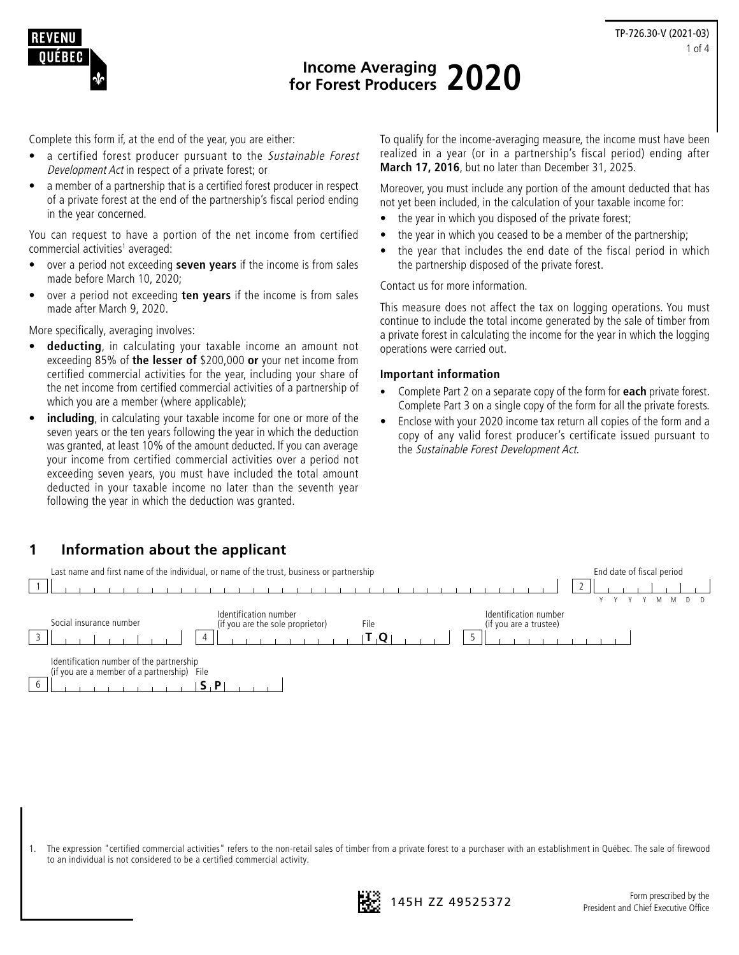



# **Income Averaging for Forest Producers 2020**

Complete this form if, at the end of the year, you are either:

- a certified forest producer pursuant to the Sustainable Forest Development Act in respect of a private forest; or
- a member of a partnership that is a certified forest producer in respect of a private forest at the end of the partnership's fiscal period ending in the year concerned.

You can request to have a portion of the net income from certified commercial activities<sup>1</sup> averaged:

- over a period not exceeding **seven years** if the income is from sales made before March 10, 2020;
- over a period not exceeding **ten years** if the income is from sales made after March 9, 2020.

More specifically, averaging involves:

- **deducting**, in calculating your taxable income an amount not exceeding 85% of **the lesser of** \$200,000 **or** your net income from certified commercial activities for the year, including your share of the net income from certified commercial activities of a partnership of which you are a member (where applicable);
- including, in calculating your taxable income for one or more of the seven years or the ten years following the year in which the deduction was granted, at least 10% of the amount deducted. If you can average your income from certified commercial activities over a period not exceeding seven years, you must have included the total amount deducted in your taxable income no later than the seventh year following the year in which the deduction was granted.

To qualify for the income-averaging measure, the income must have been realized in a year (or in a partnership's fiscal period) ending after **March 17, 2016**, but no later than December 31, 2025.

Moreover, you must include any portion of the amount deducted that has not yet been included, in the calculation of your taxable income for:

- the year in which you disposed of the private forest;
- the year in which you ceased to be a member of the partnership;
- the year that includes the end date of the fiscal period in which the partnership disposed of the private forest.

Contact us for more information.

This measure does not affect the tax on logging operations. You must continue to include the total income generated by the sale of timber from a private forest in calculating the income for the year in which the logging operations were carried out.

#### **Important information**

- Complete Part 2 on a separate copy of the form for **each** private forest. Complete Part 3 on a single copy of the form for all the private forests.
- Enclose with your 2020 income tax return all copies of the form and a copy of any valid forest producer's certificate issued pursuant to the Sustainable Forest Development Act.



1. The expression "certified commercial activities" refers to the non-retail sales of timber from a private forest to a purchaser with an establishment in Québec. The sale of firewood to an individual is not considered to be a certified commercial activity.

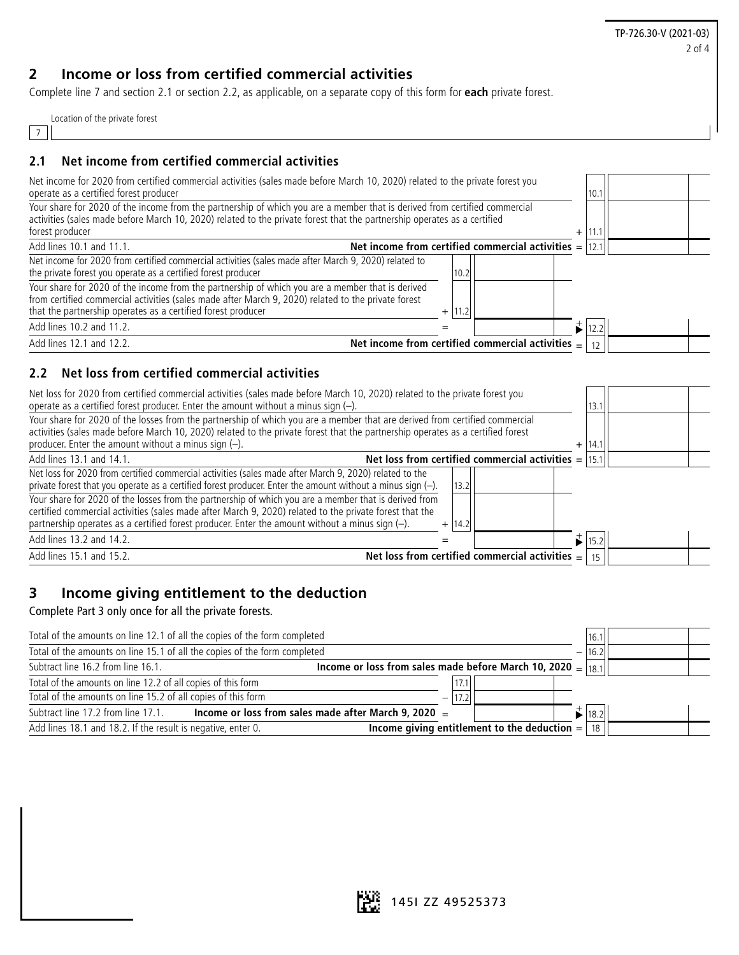TP-726.30-V (2021-03) 2 of 4

## **2 Income or loss from certified commercial activities**

Complete line 7 and section 2.1 or section 2.2, as applicable, on a separate copy of this form for **each** private forest.

| Location of the private forest |  |  |
|--------------------------------|--|--|
|                                |  |  |

#### $\lfloor 7 \rfloor$

#### **2.1 Net income from certified commercial activities**

| Net income for 2020 from certified commercial activities (sales made before March 10, 2020) related to the private forest you                                                                                                                                             |      |                                                           |       |  |
|---------------------------------------------------------------------------------------------------------------------------------------------------------------------------------------------------------------------------------------------------------------------------|------|-----------------------------------------------------------|-------|--|
| operate as a certified forest producer                                                                                                                                                                                                                                    |      |                                                           | 10.   |  |
| Your share for 2020 of the income from the partnership of which you are a member that is derived from certified commercial<br>activities (sales made before March 10, 2020) related to the private forest that the partnership operates as a certified<br>forest producer |      | $\ddot{}$                                                 | l 11. |  |
| Add lines 10.1 and 11.1.                                                                                                                                                                                                                                                  |      | Net income from certified commercial activities $=$  12.1 |       |  |
|                                                                                                                                                                                                                                                                           |      |                                                           |       |  |
| Net income for 2020 from certified commercial activities (sales made after March 9, 2020) related to<br>the private forest you operate as a certified forest producer                                                                                                     | 10.2 |                                                           |       |  |
| Your share for 2020 of the income from the partnership of which you are a member that is derived<br>from certified commercial activities (sales made after March 9, 2020) related to the private forest<br>that the partnership operates as a certified forest producer   |      |                                                           |       |  |
| Add lines 10.2 and 11.2.                                                                                                                                                                                                                                                  |      |                                                           | 12.2  |  |
| Add lines 12.1 and 12.2.                                                                                                                                                                                                                                                  |      | Net income from certified commercial activities $=$       |       |  |
|                                                                                                                                                                                                                                                                           |      |                                                           |       |  |

#### **2.2 Net loss from certified commercial activities**

| Net loss for 2020 from certified commercial activities (sales made before March 10, 2020) related to the private forest you<br>operate as a certified forest producer. Enter the amount without a minus sign $(-)$ .                                                                                                                 | 13.7 |  |
|--------------------------------------------------------------------------------------------------------------------------------------------------------------------------------------------------------------------------------------------------------------------------------------------------------------------------------------|------|--|
| Your share for 2020 of the losses from the partnership of which you are a member that are derived from certified commercial<br>activities (sales made before March 10, 2020) related to the private forest that the partnership operates as a certified forest<br>producer. Enter the amount without a minus sign $(-)$ .<br>$^{+}$  | 14.1 |  |
| Net loss from certified commercial activities $=$<br>Add lines 13.1 and 14.1.                                                                                                                                                                                                                                                        | 15.1 |  |
| Net loss for 2020 from certified commercial activities (sales made after March 9, 2020) related to the<br>private forest that you operate as a certified forest producer. Enter the amount without a minus sign $(-)$ .<br>13.2                                                                                                      |      |  |
| Your share for 2020 of the losses from the partnership of which you are a member that is derived from<br>certified commercial activities (sales made after March 9, 2020) related to the private forest that the<br>partnership operates as a certified forest producer. Enter the amount without a minus sign (-).<br> 14.2 <br>$+$ |      |  |
| Add lines 13.2 and 14.2.                                                                                                                                                                                                                                                                                                             | 15.2 |  |
| Net loss from certified commercial activities $=$<br>Add lines 15.1 and 15.2.                                                                                                                                                                                                                                                        |      |  |

### **3 Income giving entitlement to the deduction**

Complete Part 3 only once for all the private forests.

| Total of the amounts on line 12.1 of all the copies of the form completed |                                                                 | 16.1          |  |
|---------------------------------------------------------------------------|-----------------------------------------------------------------|---------------|--|
| Total of the amounts on line 15.1 of all the copies of the form completed |                                                                 | 16.2          |  |
| Subtract line 16.2 from line 16.1.                                        | Income or loss from sales made before March 10, 2020 = $ 18.1 $ |               |  |
| Total of the amounts on line 12.2 of all copies of this form              |                                                                 |               |  |
| Total of the amounts on line 15.2 of all copies of this form              |                                                                 |               |  |
| Subtract line 17.2 from line 17.1.                                        | Income or loss from sales made after March 9, 2020 $=$          | 18.2          |  |
| Add lines 18.1 and 18.2. If the result is negative, enter 0.              | Income giving entitlement to the deduction $=$                  | <sup>18</sup> |  |

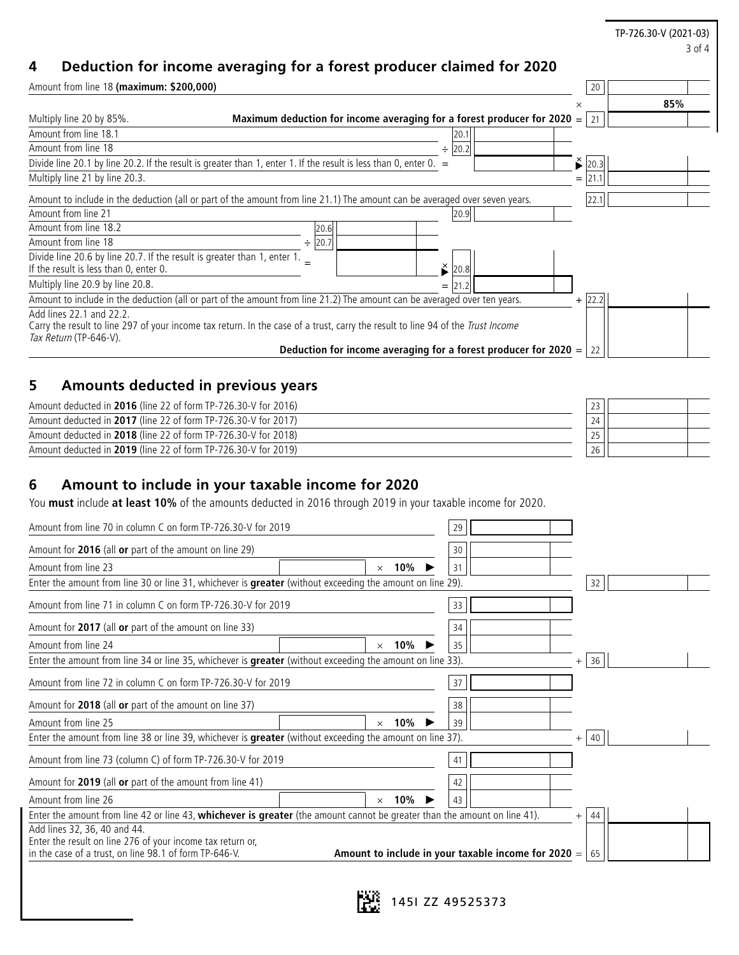## **4 Deduction for income averaging for a forest producer claimed for 2020**

| Amount from line 18 (maximum: \$200,000)                                                                           |                                                                                                                                 |                                                                   |     | 20          |     |
|--------------------------------------------------------------------------------------------------------------------|---------------------------------------------------------------------------------------------------------------------------------|-------------------------------------------------------------------|-----|-------------|-----|
|                                                                                                                    |                                                                                                                                 |                                                                   | ×   |             | 85% |
| Multiply line 20 by 85%.                                                                                           | Maximum deduction for income averaging for a forest producer for 2020 $=$   21                                                  |                                                                   |     |             |     |
| Amount from line 18.1                                                                                              |                                                                                                                                 | 20.7                                                              |     |             |     |
| Amount from line 18                                                                                                |                                                                                                                                 | 20.2 <br>÷                                                        |     |             |     |
|                                                                                                                    | Divide line 20.1 by line 20.2. If the result is greater than 1, enter 1. If the result is less than 0, enter 0. $=$             |                                                                   |     | $\geq$ 20.3 |     |
| Multiply line 21 by line 20.3.                                                                                     |                                                                                                                                 |                                                                   | $=$ |             |     |
|                                                                                                                    | Amount to include in the deduction (all or part of the amount from line 21.1) The amount can be averaged over seven years.      |                                                                   |     | 22.1        |     |
| Amount from line 21                                                                                                |                                                                                                                                 | 20.9                                                              |     |             |     |
| Amount from line 18.2                                                                                              | 20.6                                                                                                                            |                                                                   |     |             |     |
| Amount from line 18                                                                                                | 20.7<br>÷                                                                                                                       |                                                                   |     |             |     |
| Divide line 20.6 by line 20.7. If the result is greater than 1, enter 1.<br>If the result is less than 0, enter 0. |                                                                                                                                 | ≚<br>20.8                                                         |     |             |     |
| Multiply line 20.9 by line 20.8.                                                                                   |                                                                                                                                 | $=$                                                               |     |             |     |
|                                                                                                                    | Amount to include in the deduction (all or part of the amount from line 21.2) The amount can be averaged over ten years.        |                                                                   |     | $+$ 22.2    |     |
| Add lines 22.1 and 22.2.<br>Tax Return (TP-646-V).                                                                 | Carry the result to line 297 of your income tax return. In the case of a trust, carry the result to line 94 of the Trust Income |                                                                   |     |             |     |
|                                                                                                                    |                                                                                                                                 | Deduction for income averaging for a forest producer for $2020 =$ |     | 22          |     |

TP-726.30-V (2021-03)

3 of 4

## **5 Amounts deducted in previous years**

| Amount deducted in 2016 (line 22 of form TP-726.30-V for 2016) |    |  |
|----------------------------------------------------------------|----|--|
| Amount deducted in 2017 (line 22 of form TP-726.30-V for 2017) |    |  |
| Amount deducted in 2018 (line 22 of form TP-726.30-V for 2018) |    |  |
| Amount deducted in 2019 (line 22 of form TP-726.30-V for 2019) | 26 |  |

## **6 Amount to include in your taxable income for 2020**

You **must** include **at least 10%** of the amounts deducted in 2016 through 2019 in your taxable income for 2020.

| Amount from line 70 in column C on form TP-726.30-V for 2019                                                                                         | 29                                                                  |
|------------------------------------------------------------------------------------------------------------------------------------------------------|---------------------------------------------------------------------|
| Amount for 2016 (all or part of the amount on line 29)                                                                                               | 30                                                                  |
| Amount from line 23<br>10%<br>$\times$                                                                                                               | 31                                                                  |
| Enter the amount from line 30 or line 31, whichever is greater (without exceeding the amount on line 29).                                            | 32                                                                  |
| Amount from line 71 in column C on form TP-726.30-V for 2019                                                                                         | 33                                                                  |
| Amount for 2017 (all or part of the amount on line 33)                                                                                               | 34                                                                  |
| Amount from line 24<br>10%<br>$\times$                                                                                                               | 35                                                                  |
| Enter the amount from line 34 or line 35, whichever is greater (without exceeding the amount on line 33).                                            | 36<br>$^{+}$                                                        |
| Amount from line 72 in column C on form TP-726.30-V for 2019                                                                                         | 37                                                                  |
| Amount for 2018 (all or part of the amount on line 37)                                                                                               | 38                                                                  |
| Amount from line 25<br>10%<br>$\times$                                                                                                               | 39                                                                  |
| Enter the amount from line 38 or line 39, whichever is greater (without exceeding the amount on line 37).                                            | $+$ 40                                                              |
| Amount from line 73 (column C) of form TP-726.30-V for 2019                                                                                          | 41                                                                  |
| Amount for 2019 (all or part of the amount from line 41)                                                                                             | 42                                                                  |
| Amount from line 26<br>10%<br>$\times$                                                                                                               | 43                                                                  |
| Enter the amount from line 42 or line 43, whichever is greater (the amount cannot be greater than the amount on line 41).                            | 44<br>$^{+}$                                                        |
| Add lines 32, 36, 40 and 44.<br>Enter the result on line 276 of your income tax return or,<br>in the case of a trust, on line 98.1 of form TP-646-V. | Amount to include in your taxable income for 2020 $=$ $\vert$<br>65 |